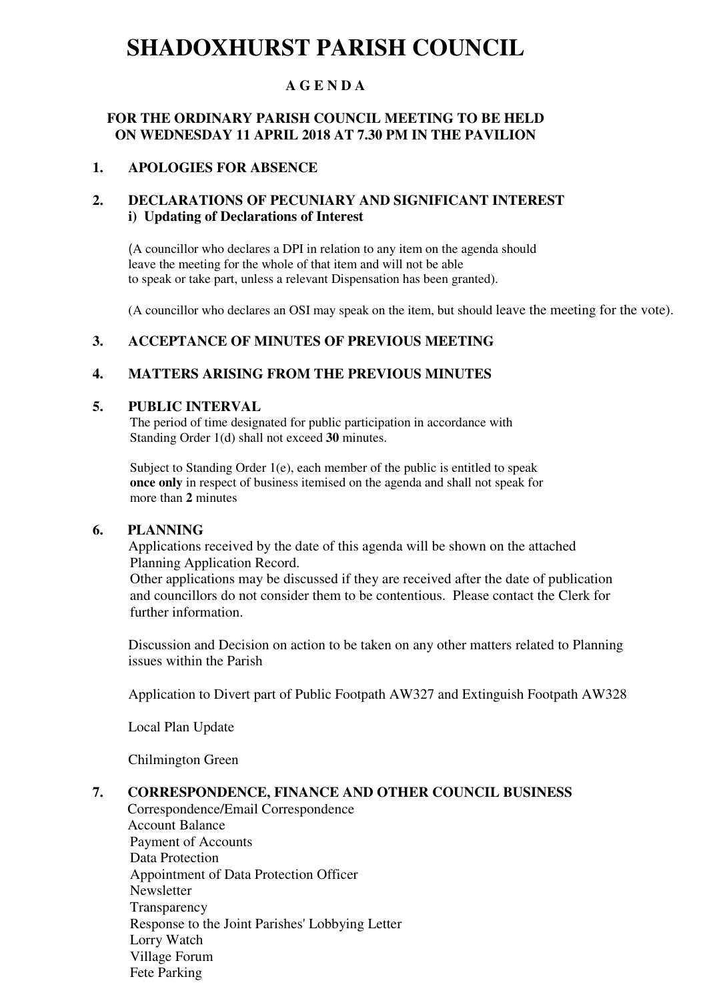# **SHADOXHURST PARISH COUNCIL**

### **A G E N D A**

#### **FOR THE ORDINARY PARISH COUNCIL MEETING TO BE HELD ON WEDNESDAY 11 APRIL 2018 AT 7.30 PM IN THE PAVILION**

#### **1. APOLOGIES FOR ABSENCE**

#### **2. DECLARATIONS OF PECUNIARY AND SIGNIFICANT INTEREST i) Updating of Declarations of Interest**

(A councillor who declares a DPI in relation to any item on the agenda should leave the meeting for the whole of that item and will not be able to speak or take part, unless a relevant Dispensation has been granted).

(A councillor who declares an OSI may speak on the item, but should leave the meeting for the vote).

#### **3. ACCEPTANCE OF MINUTES OF PREVIOUS MEETING**

#### **4. MATTERS ARISING FROM THE PREVIOUS MINUTES**

#### **5. PUBLIC INTERVAL**

 The period of time designated for public participation in accordance with Standing Order 1(d) shall not exceed **30** minutes.

Subject to Standing Order 1(e), each member of the public is entitled to speak  **once only** in respect of business itemised on the agenda and shall not speak for more than **2** minutes

#### **6. PLANNING**

Applications received by the date of this agenda will be shown on the attached Planning Application Record.

 Other applications may be discussed if they are received after the date of publication and councillors do not consider them to be contentious. Please contact the Clerk for further information.

Discussion and Decision on action to be taken on any other matters related to Planning issues within the Parish

Application to Divert part of Public Footpath AW327 and Extinguish Footpath AW328

Local Plan Update

Chilmington Green

#### **7. CORRESPONDENCE, FINANCE AND OTHER COUNCIL BUSINESS**

Correspondence/Email Correspondence Account Balance Payment of Accounts Data Protection Appointment of Data Protection Officer Newsletter **Transparency**  Response to the Joint Parishes' Lobbying Letter Lorry Watch Village Forum Fete Parking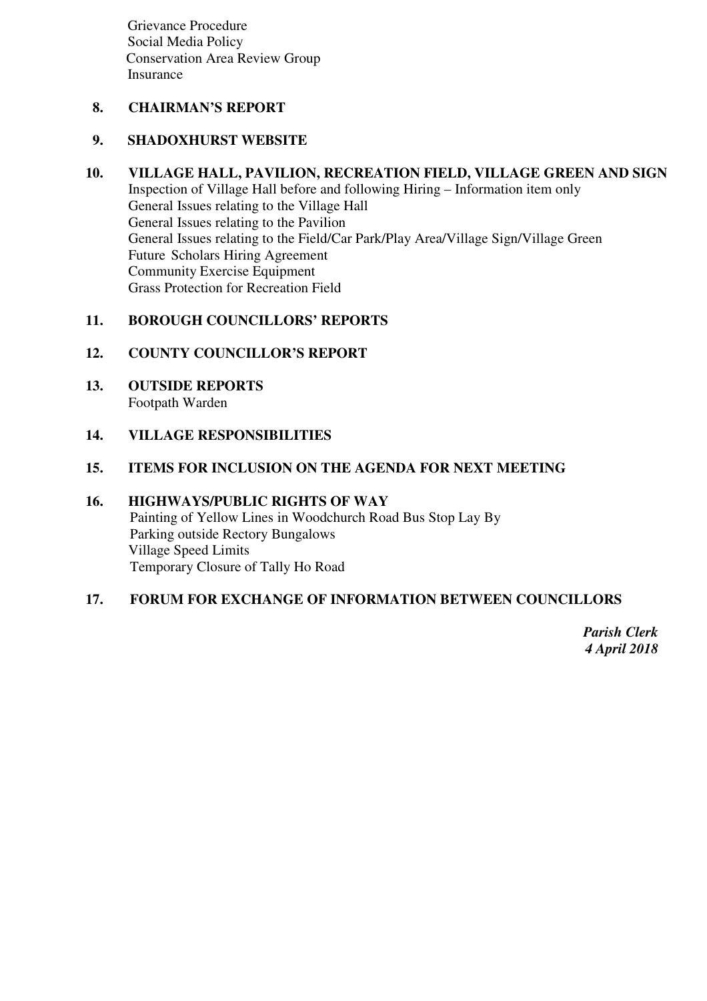Grievance Procedure Social Media Policy Conservation Area Review Group Insurance

# **8. CHAIRMAN'S REPORT**

## **9. SHADOXHURST WEBSITE**

## **10. VILLAGE HALL, PAVILION, RECREATION FIELD, VILLAGE GREEN AND SIGN**

Inspection of Village Hall before and following Hiring – Information item only General Issues relating to the Village Hall General Issues relating to the Pavilion General Issues relating to the Field/Car Park/Play Area/Village Sign/Village Green Future Scholars Hiring Agreement Community Exercise Equipment Grass Protection for Recreation Field

# **11. BOROUGH COUNCILLORS' REPORTS**

# **12. COUNTY COUNCILLOR'S REPORT**

**13. OUTSIDE REPORTS**  Footpath Warden

# **14. VILLAGE RESPONSIBILITIES**

### **15. ITEMS FOR INCLUSION ON THE AGENDA FOR NEXT MEETING**

# **16. HIGHWAYS/PUBLIC RIGHTS OF WAY**

Painting of Yellow Lines in Woodchurch Road Bus Stop Lay By Parking outside Rectory Bungalows Village Speed Limits Temporary Closure of Tally Ho Road

# **17. FORUM FOR EXCHANGE OF INFORMATION BETWEEN COUNCILLORS**

*Parish Clerk 4 April 2018*